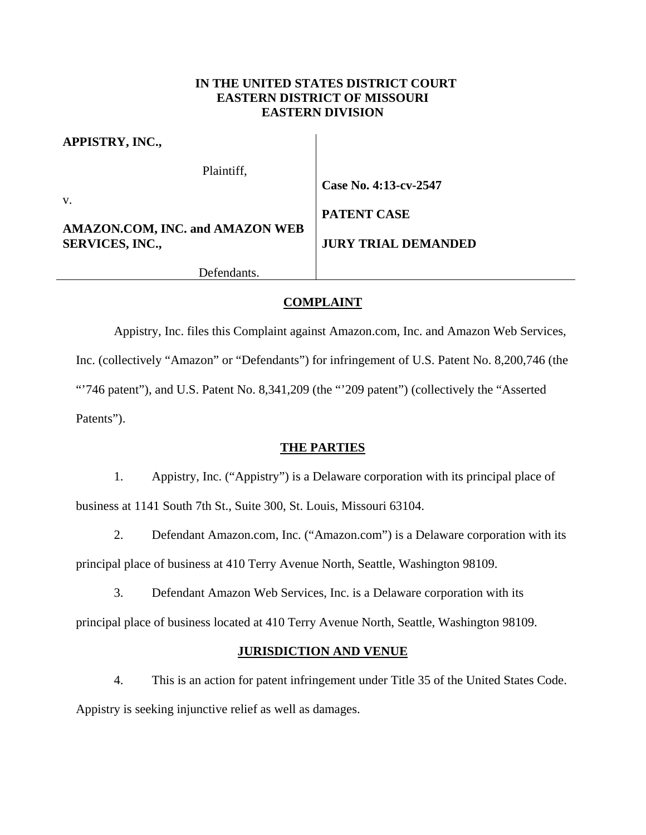# **IN THE UNITED STATES DISTRICT COURT EASTERN DISTRICT OF MISSOURI EASTERN DIVISION**

| APPISTRY, INC.,                                                  |                            |
|------------------------------------------------------------------|----------------------------|
| Plaintiff,                                                       |                            |
|                                                                  | Case No. 4:13-cv-2547      |
| V.                                                               | <b>PATENT CASE</b>         |
| <b>AMAZON.COM, INC. and AMAZON WEB</b><br><b>SERVICES, INC.,</b> | <b>JURY TRIAL DEMANDED</b> |
| Defendants.                                                      |                            |

# **COMPLAINT**

Appistry, Inc. files this Complaint against Amazon.com, Inc. and Amazon Web Services, Inc. (collectively "Amazon" or "Defendants") for infringement of U.S. Patent No. 8,200,746 (the

"746 patent"), and U.S. Patent No. 8,341,209 (the "209 patent") (collectively the "Asserted Patents").

# **THE PARTIES**

1. Appistry, Inc. ("Appistry") is a Delaware corporation with its principal place of business at 1141 South 7th St., Suite 300, St. Louis, Missouri 63104.

2. Defendant Amazon.com, Inc. ("Amazon.com") is a Delaware corporation with its principal place of business at 410 Terry Avenue North, Seattle, Washington 98109.

3. Defendant Amazon Web Services, Inc. is a Delaware corporation with its

principal place of business located at 410 Terry Avenue North, Seattle, Washington 98109.

# **JURISDICTION AND VENUE**

4. This is an action for patent infringement under Title 35 of the United States Code. Appistry is seeking injunctive relief as well as damages.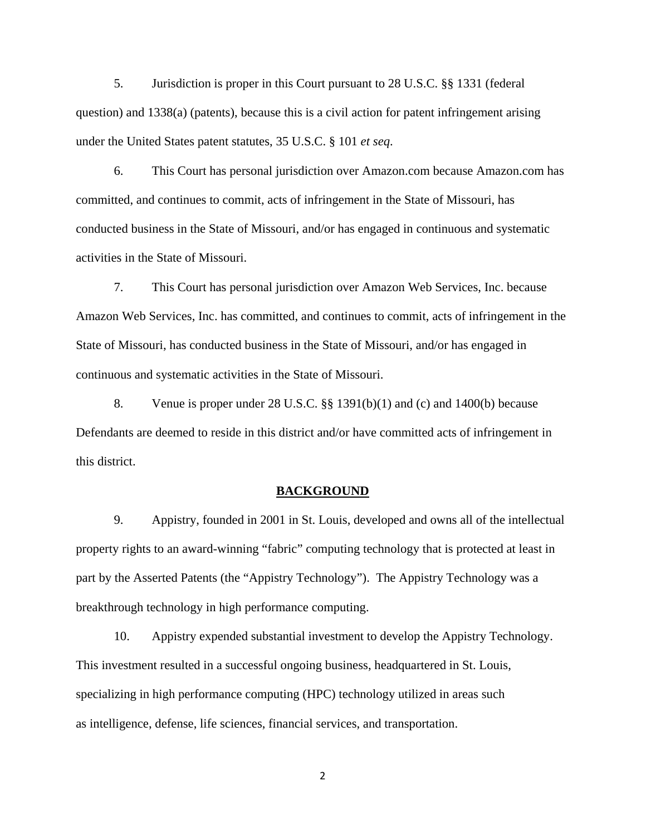5. Jurisdiction is proper in this Court pursuant to 28 U.S.C. §§ 1331 (federal question) and 1338(a) (patents), because this is a civil action for patent infringement arising under the United States patent statutes, 35 U.S.C. § 101 *et seq*.

6. This Court has personal jurisdiction over Amazon.com because Amazon.com has committed, and continues to commit, acts of infringement in the State of Missouri, has conducted business in the State of Missouri, and/or has engaged in continuous and systematic activities in the State of Missouri.

7. This Court has personal jurisdiction over Amazon Web Services, Inc. because Amazon Web Services, Inc. has committed, and continues to commit, acts of infringement in the State of Missouri, has conducted business in the State of Missouri, and/or has engaged in continuous and systematic activities in the State of Missouri.

8. Venue is proper under 28 U.S.C. §§ 1391(b)(1) and (c) and 1400(b) because Defendants are deemed to reside in this district and/or have committed acts of infringement in this district.

### **BACKGROUND**

9. Appistry, founded in 2001 in St. Louis, developed and owns all of the intellectual property rights to an award-winning "fabric" computing technology that is protected at least in part by the Asserted Patents (the "Appistry Technology"). The Appistry Technology was a breakthrough technology in high performance computing.

10. Appistry expended substantial investment to develop the Appistry Technology. This investment resulted in a successful ongoing business, headquartered in St. Louis, specializing in high performance computing (HPC) technology utilized in areas such as intelligence, defense, life sciences, financial services, and transportation.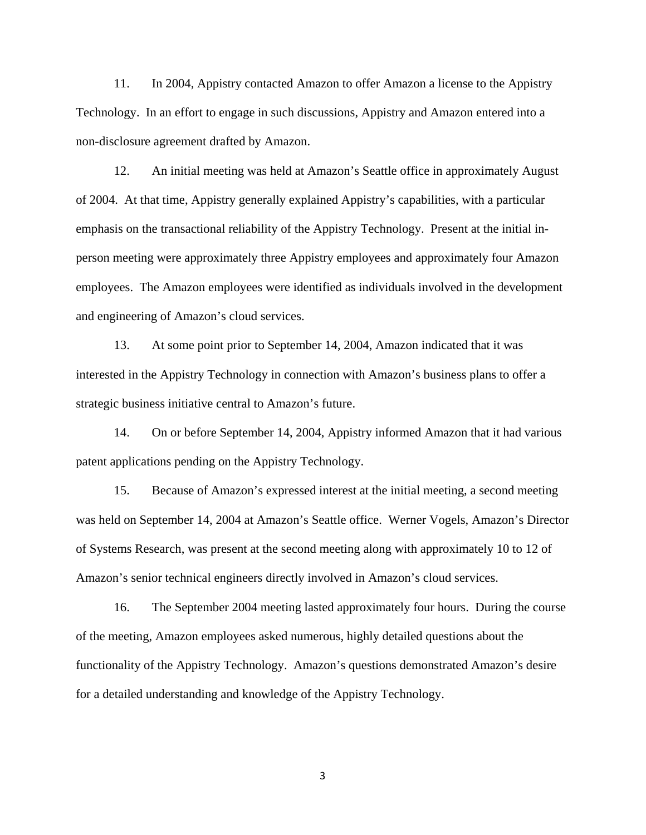11. In 2004, Appistry contacted Amazon to offer Amazon a license to the Appistry Technology. In an effort to engage in such discussions, Appistry and Amazon entered into a non-disclosure agreement drafted by Amazon.

12. An initial meeting was held at Amazon's Seattle office in approximately August of 2004. At that time, Appistry generally explained Appistry's capabilities, with a particular emphasis on the transactional reliability of the Appistry Technology. Present at the initial inperson meeting were approximately three Appistry employees and approximately four Amazon employees. The Amazon employees were identified as individuals involved in the development and engineering of Amazon's cloud services.

13. At some point prior to September 14, 2004, Amazon indicated that it was interested in the Appistry Technology in connection with Amazon's business plans to offer a strategic business initiative central to Amazon's future.

14. On or before September 14, 2004, Appistry informed Amazon that it had various patent applications pending on the Appistry Technology.

15. Because of Amazon's expressed interest at the initial meeting, a second meeting was held on September 14, 2004 at Amazon's Seattle office. Werner Vogels, Amazon's Director of Systems Research, was present at the second meeting along with approximately 10 to 12 of Amazon's senior technical engineers directly involved in Amazon's cloud services.

16. The September 2004 meeting lasted approximately four hours. During the course of the meeting, Amazon employees asked numerous, highly detailed questions about the functionality of the Appistry Technology. Amazon's questions demonstrated Amazon's desire for a detailed understanding and knowledge of the Appistry Technology.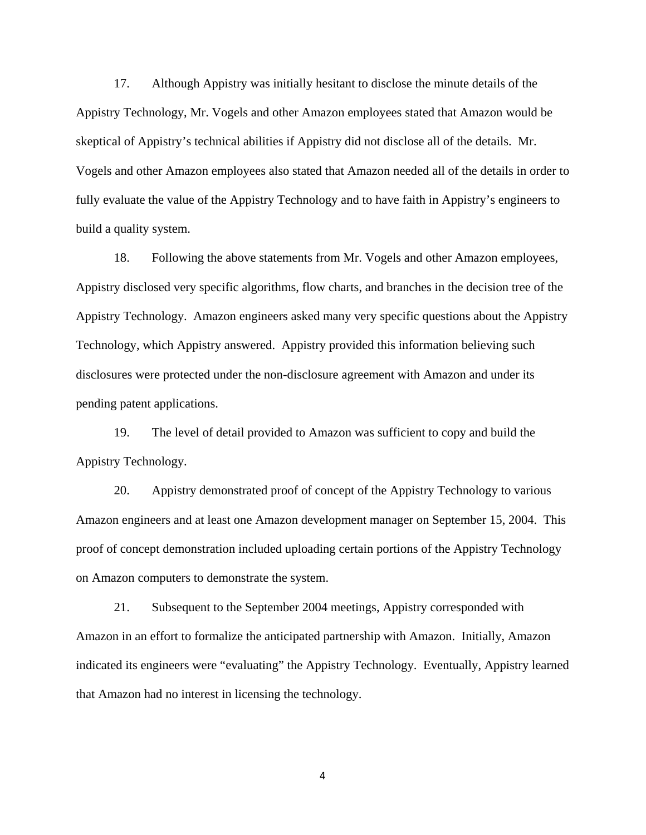17. Although Appistry was initially hesitant to disclose the minute details of the Appistry Technology, Mr. Vogels and other Amazon employees stated that Amazon would be skeptical of Appistry's technical abilities if Appistry did not disclose all of the details. Mr. Vogels and other Amazon employees also stated that Amazon needed all of the details in order to fully evaluate the value of the Appistry Technology and to have faith in Appistry's engineers to build a quality system.

18. Following the above statements from Mr. Vogels and other Amazon employees, Appistry disclosed very specific algorithms, flow charts, and branches in the decision tree of the Appistry Technology. Amazon engineers asked many very specific questions about the Appistry Technology, which Appistry answered. Appistry provided this information believing such disclosures were protected under the non-disclosure agreement with Amazon and under its pending patent applications.

19. The level of detail provided to Amazon was sufficient to copy and build the Appistry Technology.

20. Appistry demonstrated proof of concept of the Appistry Technology to various Amazon engineers and at least one Amazon development manager on September 15, 2004. This proof of concept demonstration included uploading certain portions of the Appistry Technology on Amazon computers to demonstrate the system.

21. Subsequent to the September 2004 meetings, Appistry corresponded with Amazon in an effort to formalize the anticipated partnership with Amazon. Initially, Amazon indicated its engineers were "evaluating" the Appistry Technology. Eventually, Appistry learned that Amazon had no interest in licensing the technology.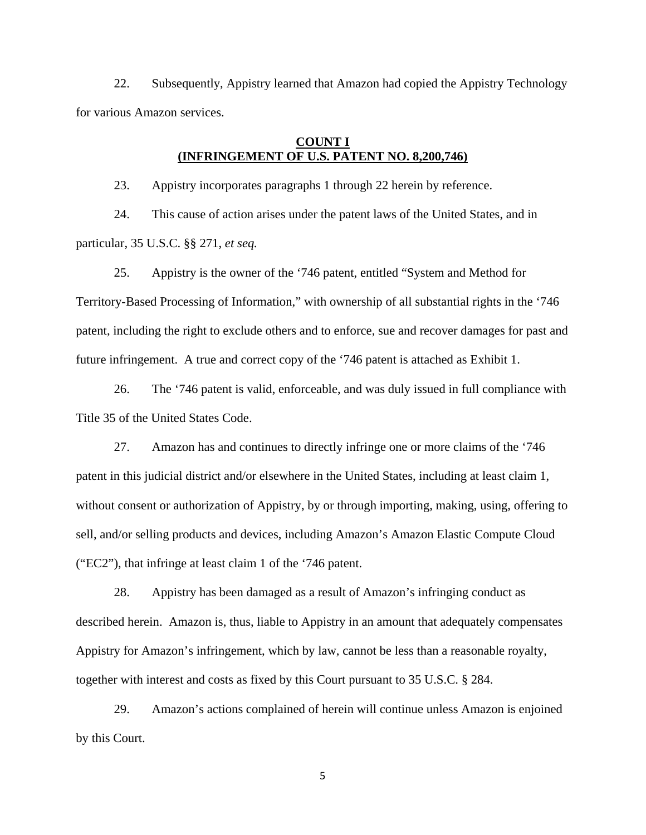22. Subsequently, Appistry learned that Amazon had copied the Appistry Technology for various Amazon services.

# **COUNT I (INFRINGEMENT OF U.S. PATENT NO. 8,200,746)**

23. Appistry incorporates paragraphs 1 through 22 herein by reference.

24. This cause of action arises under the patent laws of the United States, and in particular, 35 U.S.C. §§ 271, *et seq.*

25. Appistry is the owner of the '746 patent, entitled "System and Method for Territory-Based Processing of Information," with ownership of all substantial rights in the '746 patent, including the right to exclude others and to enforce, sue and recover damages for past and future infringement. A true and correct copy of the '746 patent is attached as Exhibit 1.

26. The '746 patent is valid, enforceable, and was duly issued in full compliance with Title 35 of the United States Code.

27. Amazon has and continues to directly infringe one or more claims of the '746 patent in this judicial district and/or elsewhere in the United States, including at least claim 1, without consent or authorization of Appistry, by or through importing, making, using, offering to sell, and/or selling products and devices, including Amazon's Amazon Elastic Compute Cloud ("EC2"), that infringe at least claim 1 of the '746 patent.

28. Appistry has been damaged as a result of Amazon's infringing conduct as described herein. Amazon is, thus, liable to Appistry in an amount that adequately compensates Appistry for Amazon's infringement, which by law, cannot be less than a reasonable royalty, together with interest and costs as fixed by this Court pursuant to 35 U.S.C. § 284.

29. Amazon's actions complained of herein will continue unless Amazon is enjoined by this Court.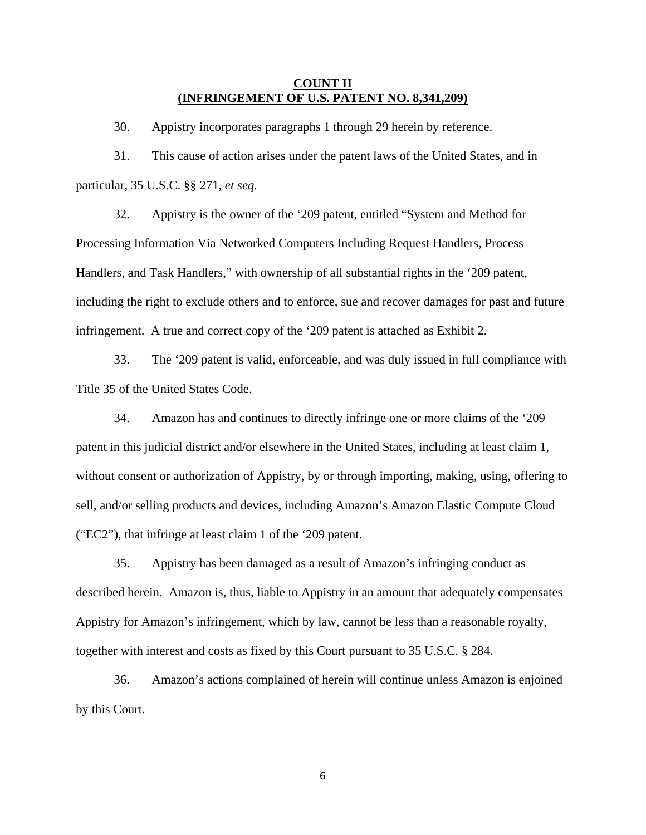# **COUNT II (INFRINGEMENT OF U.S. PATENT NO. 8,341,209)**

30. Appistry incorporates paragraphs 1 through 29 herein by reference.

31. This cause of action arises under the patent laws of the United States, and in particular, 35 U.S.C. §§ 271, *et seq.*

32. Appistry is the owner of the '209 patent, entitled "System and Method for Processing Information Via Networked Computers Including Request Handlers, Process Handlers, and Task Handlers," with ownership of all substantial rights in the '209 patent, including the right to exclude others and to enforce, sue and recover damages for past and future infringement. A true and correct copy of the '209 patent is attached as Exhibit 2.

33. The '209 patent is valid, enforceable, and was duly issued in full compliance with Title 35 of the United States Code.

34. Amazon has and continues to directly infringe one or more claims of the '209 patent in this judicial district and/or elsewhere in the United States, including at least claim 1, without consent or authorization of Appistry, by or through importing, making, using, offering to sell, and/or selling products and devices, including Amazon's Amazon Elastic Compute Cloud ("EC2"), that infringe at least claim 1 of the '209 patent.

35. Appistry has been damaged as a result of Amazon's infringing conduct as described herein. Amazon is, thus, liable to Appistry in an amount that adequately compensates Appistry for Amazon's infringement, which by law, cannot be less than a reasonable royalty, together with interest and costs as fixed by this Court pursuant to 35 U.S.C. § 284.

36. Amazon's actions complained of herein will continue unless Amazon is enjoined by this Court.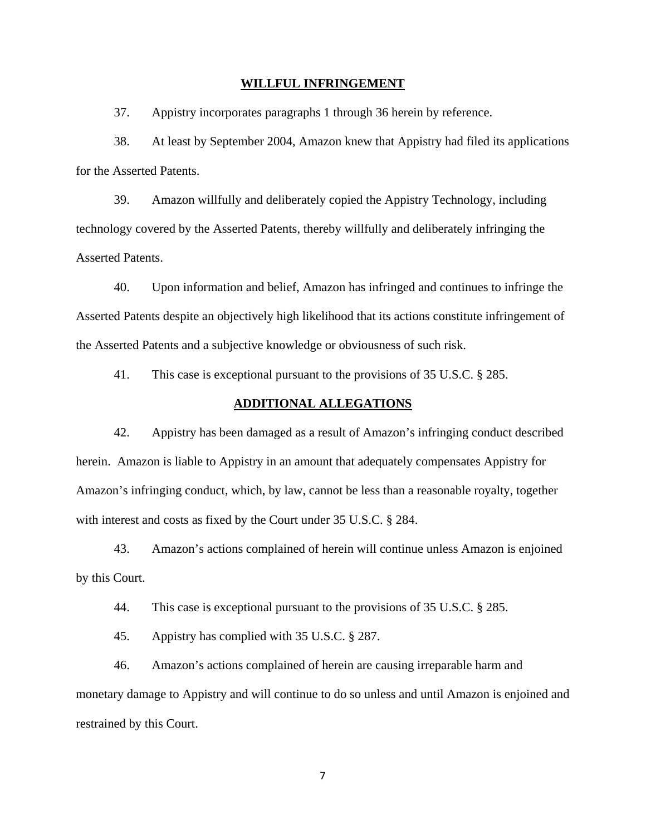#### **WILLFUL INFRINGEMENT**

37. Appistry incorporates paragraphs 1 through 36 herein by reference.

38. At least by September 2004, Amazon knew that Appistry had filed its applications for the Asserted Patents.

39. Amazon willfully and deliberately copied the Appistry Technology, including technology covered by the Asserted Patents, thereby willfully and deliberately infringing the Asserted Patents.

40. Upon information and belief, Amazon has infringed and continues to infringe the Asserted Patents despite an objectively high likelihood that its actions constitute infringement of the Asserted Patents and a subjective knowledge or obviousness of such risk.

41. This case is exceptional pursuant to the provisions of 35 U.S.C. § 285.

### **ADDITIONAL ALLEGATIONS**

42. Appistry has been damaged as a result of Amazon's infringing conduct described herein. Amazon is liable to Appistry in an amount that adequately compensates Appistry for Amazon's infringing conduct, which, by law, cannot be less than a reasonable royalty, together with interest and costs as fixed by the Court under 35 U.S.C. § 284.

43. Amazon's actions complained of herein will continue unless Amazon is enjoined by this Court.

44. This case is exceptional pursuant to the provisions of 35 U.S.C. § 285.

45. Appistry has complied with 35 U.S.C. § 287.

46. Amazon's actions complained of herein are causing irreparable harm and monetary damage to Appistry and will continue to do so unless and until Amazon is enjoined and restrained by this Court.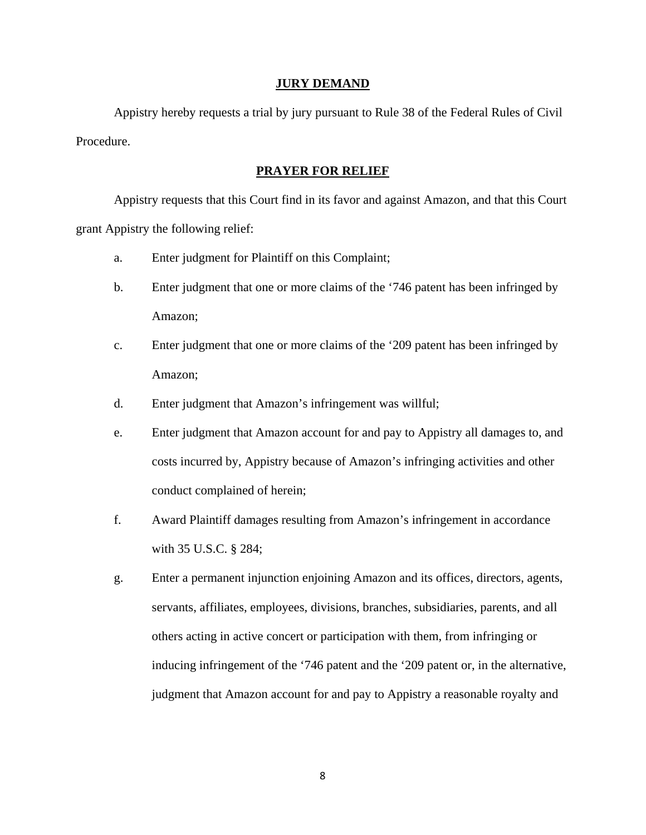### **JURY DEMAND**

Appistry hereby requests a trial by jury pursuant to Rule 38 of the Federal Rules of Civil Procedure.

### **PRAYER FOR RELIEF**

Appistry requests that this Court find in its favor and against Amazon, and that this Court grant Appistry the following relief:

- a. Enter judgment for Plaintiff on this Complaint;
- b. Enter judgment that one or more claims of the '746 patent has been infringed by Amazon;
- c. Enter judgment that one or more claims of the '209 patent has been infringed by Amazon;
- d. Enter judgment that Amazon's infringement was willful;
- e. Enter judgment that Amazon account for and pay to Appistry all damages to, and costs incurred by, Appistry because of Amazon's infringing activities and other conduct complained of herein;
- f. Award Plaintiff damages resulting from Amazon's infringement in accordance with 35 U.S.C. § 284;
- g. Enter a permanent injunction enjoining Amazon and its offices, directors, agents, servants, affiliates, employees, divisions, branches, subsidiaries, parents, and all others acting in active concert or participation with them, from infringing or inducing infringement of the '746 patent and the '209 patent or, in the alternative, judgment that Amazon account for and pay to Appistry a reasonable royalty and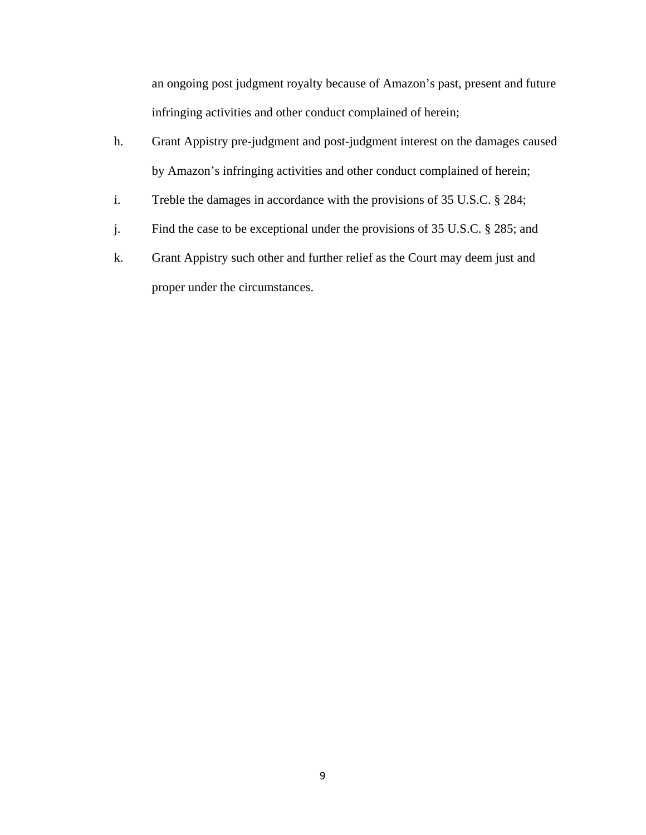an ongoing post judgment royalty because of Amazon's past, present and future infringing activities and other conduct complained of herein;

- h. Grant Appistry pre-judgment and post-judgment interest on the damages caused by Amazon's infringing activities and other conduct complained of herein;
- i. Treble the damages in accordance with the provisions of 35 U.S.C. § 284;
- j. Find the case to be exceptional under the provisions of 35 U.S.C. § 285; and
- k. Grant Appistry such other and further relief as the Court may deem just and proper under the circumstances.